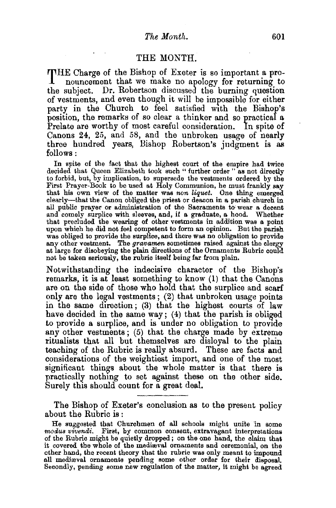## THE MONTH.

THE Charge of the Bishop of Exeter is so important a pro-nouncement that we make no apology for returning to the subject. Dr. Robertson discussed the burning question of vestments, and even though it will be impossible for either party in the Church to feel satisfied with the Bishop's position, the remarks of so clear a thinker and so practical a Prelate are worthy of most careful consideration. In spite of Canons 24, 25, and 58, and the unbroken usage of nearly three hundred years, Bishop Robertson's judgment is as follows:

In spite of the fact that the highest court of the empire had twice decided that Queen Elizabeth took such " further order " as not directly to forbid, but, by implication, to supersede the vestments ordered by the First Prayer-Book to be used at Holy Communion, he must frankly say that his own view of the matter was *non Uquet.* One thing emerged clearly-that the Canon obliged the priest or deacon in a parish church in all public prayer or administration of the Sacraments to wear a decent and comely surplice with sleeves, and, if a graduate, a hood. Whether that precluded the wearing of other vestments in addition was a point upon which he did not feel competent to form an opinion. But the parish was obliged to provide the surplice, and there was no obligation to provide any other vestment. The *gravamen* sometimes raised against the clergy at large for disobeying the plain directions of the Ornaments Rubric could not be taken seriously, the rubric itself being far from plain.

Notwithstanding the indecisive character of the Bishop's remarks, it is at least something to know (1) that the Canons are on the side of those who hold that the surplice and scarf only are the legal vestments;  $(2)$  that unbroken usage points in the same direction; (3) that the highest courts of law have decided in the same way;  $(4)$  that the parish is obliged to provide a surplice, and is under no obligation to provide any other vestments; (5) that the charge made by extreme ritualists that all but themselves are disloyal to the plain teaching of the Rubric is really absurd. These are facts and considerations of the weightiest import, and one of the most significant things about the whole matter is that there is practically nothing to set against these on the other side. Surely this should count for a great deal.

The Bishop of Exeter's conclusion as to the present policy about the Rubric is :

He suggested that Churchmen of all schools might unite 1n some *modus vwendti.* First, by common consent, extravagant interpretations of the Rubric might be quietly dropped; on the one hand, the claim that it covered the whole of the mediaval ornaments and ceremonial, on the other hand, the recent theory that the rubric was only meant to impound all mediæval ornaments pending some other order for their disposal. Secondly, pending some new regulation of the matter, it might be agreed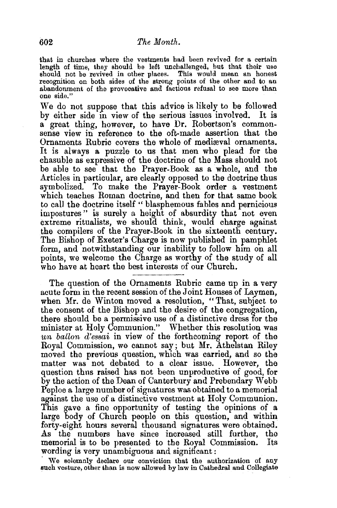that in churches where the vestments had been revived for a certain length of time, they should be left unchallenged, but that their use length of time, they should be left unchallenged, but that their use should not be revived in other places. This would mean an honest recognition on both sides of the strong points of the other and to an abandonment of the provocative and factious refusal to see more than one side."

We do not suppose that this advice is likely to be followed by either side in view of the serious issues involved. It is a great thing, however, to have Dr. Robertson's commonsense view in reference to the oft-made assertion that the Ornaments Rubric covers the whole of mediæval ornaments. It is always a puzzle to us that men who plead for the chasuble as expressive of the doctrine of the Mass should not be able to see that the Prayer-Book as a whole, and the Articles in particular, are clearly opposed to the doctrine thus symbolized. To make the Prayer-Book order a vestment which teaches Roman doctrine, and then for that same book to call the doctrine itself " blasphemous fables and pernicious impostures" is surely a height of absurdity that not even extreme ritualists, we should think, would charge against the compilers of the Prayer-Book in the sixteenth century. The Bishop of Exeter's Charge is now published in pamphlet form, and notwithstanding our inability to follow him on all points, we welcome the Charge as worthy of the study of all who have at heart the best interests of our Church.

The question of the Ornaments Rubric came up in a very acute form in the recent session of the Joint Houses of Laymen, when Mr. de Winton moved a resolution, "That, subject to the consent of the Bishop and the desire of the congregation, there should be a permissive use of a distinctive dress for the minister at Holy Communion." Whether this resolution was *un ballon d'essai* in view of the forthcoming report of the Royal Commission, we cannot say; but Mr. Athelstan Riley moved the previous question, which was carried, and so the matter was not debated to a clear issue. However, the question thus raised has not been unproductive of good, for by the action of the Dean of Canterbury and Prebendary Webb Peploe a large number of signatures was obtained to a memorial against the use of a distinctive vestment at Holy Communion. This gave a fine opportunity of testing the opinions of a large body of Church people on this question, and within forty-eight hours several thousand signatures were obtained. As the numbers have since increased still further, the memorial is to be presented to the Royal Commission. Its wording is very unambiguous and significant:

We solemnly declare our conviction that the authorization of any sueh vesture, other than is now allowed by law in Cathedral and Collegiate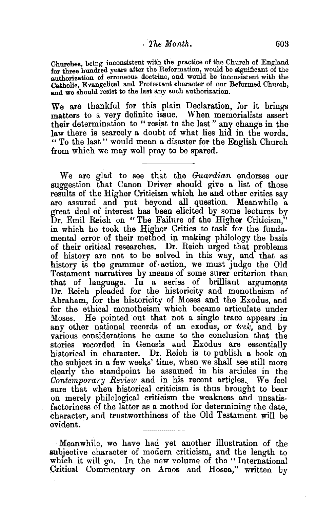## , *The Month.* 603

Churehes, being inconsistent with the practice of the Church of England for three hundred years after the Reformation, would be significant of the authorization of erroneous doctrine, and would be inconsistent with the Catholic, Evangelical and Protestant cbarscter of our Reformed Church, and we should resist to the last any such authorization.

We are thankful for this plain Declaration, for it brings matters to a very definite issue. When memorialists assert their determination to " resist to the last " any change in the law there is scarcely a doubt of what lies hid in the words. " To the last " would mean a disaster for the English Church from which we may well pray to be spared.

We are glad to see that the *Guardian* endorses our suggestion that Canon Driver should give a list of those results of the Higher Criticism which he and other critics say are assured and put beyond all question. Meanwhile a great deal of interest has been elicited by some lectures by Dr. Emil Reich on "The Failure of the Higher Criticism," in which he took the Higher Critics to task for the fundamental error of their method in making philology the basis of their critical researches. Dr. Reich urged that problems of history are not to be solved in this way, and that as history is the grammar of· action, we must judge the Old Testament narratives by means of some surer criterion than that of language. In a series of brilliant arguments Dr. Reich pleaded for the historicity and monotheism of Abraham, for the historicity of Moses and the Exodus, and for the ethical monotheism which became articulate under Moses. He pointed out that not a single trace appears .in any other national records of an exodus, or *trek,* and by various considerations he came to the conclusion that the stories recorded in Genesis and Exodus are essentially historical in character. Dr. Reich is to publish a book on the subject in a few weeks' time, when we shall see still more clearly the standpoint he assumed in his articles in the *Contemporary Review* and in his recent articles. We feel sure that when historical criticism is thus brought to bear on merely philological criticism the weakness and unsatisfactoriness of the latter as a method for determining the date, character, and trustworthiness of the Old Testament will be evident.·

Meanwhile, we have had yet another illustration of the subjective character of modern criticism, and the length to which it will go. In the new volume of the "International Critical Commentary on Amos and Hosea,'' written by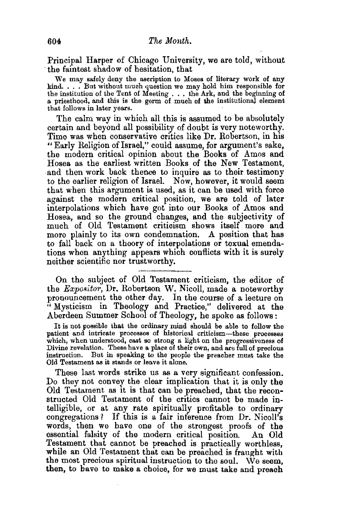Principal Harper of Chicago University, we are told, without ·the faintest shadow of hesitation, that

We may safely deny the ascription to Moses of literary work of any kind. . . . But without much question we may hold him responsible for the institution of the Tent of Meeting  $\dots$  the Ark, and the beginning of a priesthood, and this is the germ of much of the institutional element that follows in later years.

The calm way in which all this is assumed to be absolutely certain and beyond all possibility of doubt is very noteworthy. Time was when conservative critics like Dr. Robertson, in his "Early Religion of Israel,'' could assume, for argument's sake, the modern critical opinion about the Books of Amos and Hosea as the earliest written Books of the New Testament, and then work back thence to inquire as to their testimony to the earlier religion of Israel. Now, however, it would seem that when this argument is used, as it can be used with force against the modern critical position, we are told of later interpolations which have got into our Books of Amos and Hosea, and so the ground changes, and the subjectivity of much of Old Testament criticism shows itself more and more plainly to its own condemnation. A position that has to fall back on a theory of interpolations or texual emendations when anything appears which conflicts with it is surely neither scientific nor trustworthy.

On the subject of Old Testament criticism, the editor of the *Expositor,* Dr. Robertson W. Nicoll, made a noteworthy pronouncement the other day. In the course of a lecture on '' Mysticism in Theology and Practice," delivered at the Aberdeen Summer School of Theology, he spoke as follows:

It is not possible that the ordinary mind should be able to follow the patient and intricate processes of historical criticism-these processes which, when understood, cast so strong a light on the progressiveness of Divine revelation. These have a plaee of their own, and are full of precious instruction. But in speaking to the people the preacher must take the Old Testament as it stands or leave it alone.

These last words strike us as a very significant confession. Do they not convey the clear implication that it is only the Old Testament as it is that can be preached, that the reconstructed Old Testament of the critics cannot be made intelligible, or at any rate spiritually profitable to ordinary congregations? If this is a fair inference from Dr. Nicoll's words, then we have one of the strongest proofs of the essential falsity of the modern critical position. An Old Testament that cannot be preached is practically worthless, while an Old Testament that can be preached is fraught with the most precious spiritual instruction to the soul. We seem, then, to have to make a choice, for we must take and preach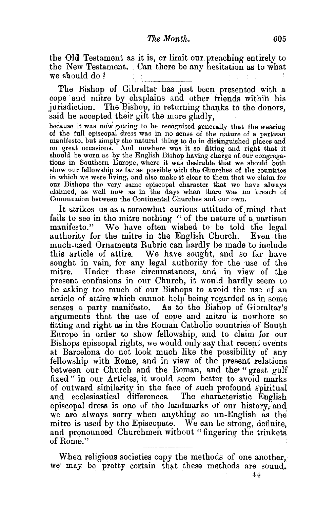the Old Testament as it is, or limit our. preaching entirely to the New Testament. Can there be any hesitation as to what we should do ?

The Bishop of Gibraltar has just been presented with a cope and mitre by chaplains and other friends within his jurisdiction. The Bishop, in returning thanks to the donors, said he accepted their gift the more gladly,

because it was now getting to be recognised generally that the wearing of the full episcopal dress was in no sense of the nature of a partisan on great occasions. And nowhere was it so fitting and right that it should be worn as by the English Bishop having charge of our congregations in Southern Europe, where it was desirable that we should both show our fellowship as far as possible with the Ghurches of the countries<br>in which we were living, and also make it clear to them that we claim for our Bishops the very same episcopal character that we have always elaimed, as well now as in the days when there was no breach of Communion between the Continental Churches and our own.

It strikes us as a somewhat curious attitude of mind that fails to see in the mitre nothing "of the nature of a partisan manifesto." We have often wished to be told the legal authority for the mitre in the English Church. Even tbe much.used Ornaments Rubric can hardly be made to include this article of attire. We have sought, and so far have sought in vain, for any legal authority for the use of the mitre. Under these circumstances, and in view of the present confusions in our Church, it would hardly seem to be asking too much of our Bishops to avoid the use of an article of attire which cannot help being regarded as in some senses a party manifesto. As to the Bishop of Gibraltar's arguments that the use of cope and mitre is nowhere so fitting and right as in the Roman Catholic eountries of South Europe in order to show fellowship, and to claim for our Bishops episcopal rights, we would only say that recent events at Barcelona do not look much like the possibility of any fellowship with Rome, and in view of the present relations between our Church and the Roman, and the "great gulf fixed " in our Articles, it would seem better to avoid marks of outward similarity in the face of such profound spiritual and ecclesiastical differences. The characteristic English episcopal dress is one of the landmarks of our history, and we are always sorry when anything so un-English as the mitre is used by the Episcopate. We can be strong, definite, and pronounced Churchmen without "fingering the trinkets of Rome."

When religious societies copy the methods of one another, we may be pretty certain that these methods are sound.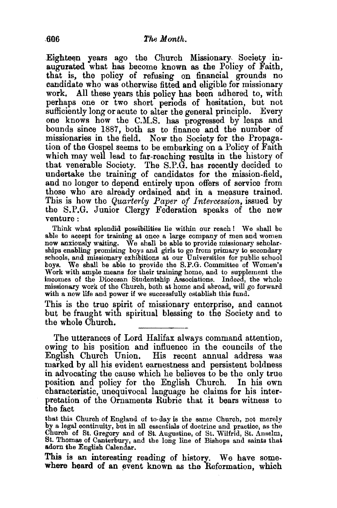Eighteen years ago the Church Missionary, Society inaugurated what has become known as the Policy of Faith, that is, the policy of refusing on financial grounds no candidate who was otherwise fitted and eligible for missionary work. All these years this policy has been adhered to, with perhaps one or two short pe:nods of hesitation, but not sufficiently long or acute to alter the general principle. Every one knows how the C.M.S. has progressed by leaps and bounds since 1887, both as to finance and the number of missionaries in the field. Now the Society for the Propagation of the Gospel seems to be embarking on a Policy of Faith which may well lead to far-reaching results in the history of that venerable Society. The S.P.G. has recently decided to undertake the training of candidates for the mission-field, and no longer to depend entirely upon offers of service from those who are already ordained and in a measure trained. This is how the *Quarterly Paper of Intercession,* issued by the S.P.G. Junior Clergy Federation speaks of the new venture:

Think what splendid possibilities lie within our reach I We shall be able to accept for training at once a large company of men and women now anxiously waiting. We shall be able to provide missionary scholarships enabling promising boys and girls to go from primary to secondary schools, and missionary exhibitions at our Universities for public school boys. We shall be able to provide the S.P.G. Committee of Women's Work with ample means for their training home, and to supplement the incomes of the Diocesan Studentship Associations. Indeed, the whole missionary work of the Church, both at home and abroad, will go forward with a new life and power if we successfully establish this fund.

This is the true spirit of missionary enterprise, and cannot but be fraught with spiritual blessing to the Society and to the whole Church.

The utterances of Lord Halifax always command attention, owing to his position and influence in the councils of the English Church Union. His recent annual address was marked by all his evident earnestness and persistent boldness in advocating the cause which he believes to be the only true position and policy for the English Church. In his own characteristic, unequivocal language he claims for his interpretation of the Ornaments Rubric that it bears witness to the fact

that this Church of England of to· day is the same Church, not merely by a legal continuity, but in all essentials of doctrine and practice, as the Church of St. Gregory and of St. Augustine, of St. Wilfrid, St. Anselm, St. Thomas of Canterbury, and the long line of Bishops and saints that adorn the English Calendar.

This is an interesting reading of history. We have somewhere heard of an event known as the Reformation, which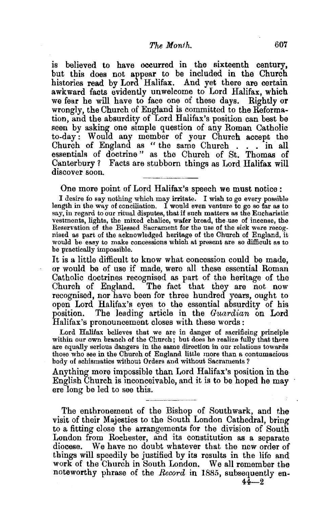is believed to have occurred in the sixteenth century, but this does not appear to be included in the Church histories read by Lord Halifax. And yet there are certain awkward facts evidently unwelcome to Lord Halifax, which we fear he will have to face one of these days. Rightly or wrongly, the Church of England is committed to the Reformation, and the absurdity of Lord Halifax's position can best be seen by asking one stmple question of any Roman Catholic to-day : Would any member of your Church accept the Church of England as " the same Church . . . in all essentials of doctrine " as the Church of St. Thomas of Canterbury *?* Facts are stubborn things as Lord Halifax will discover soon.

One more point of Lord Halifax's speech we must notice :

I desire to say nothing which may irritate. I wish to go every possible length in the way of conciliation. I would even venture to go so far as to say, in regard to our ritual disputes, that if such matters as the Eucharistic vestments, lights, the mixed chalice, wafer bread, the.use of incense, the Reservation of the Blessed Sacrament for the use of the sick were recog. nised as part of the acknowledged heritage of the Church of England, it would be easy to make concessions which at present are so difficult as to be practically impossible.

It is a little difficult to know what concession could be made, or would be of use if made, were all these essential Roman Catholic doctrines recognised as part of the heritage of the Church of England. The fact that they are not now recognised, nor have been for three hundred years, ought to open Lord Halifax's eyes to the essential absurdity of his position. The leading article in the *Guardian* on Lord Halifax's pronouncement closes with these words:

Lord Halifax believes that we are in danger of sacrificing principle within our own branch of the Church; but does he realize fully that there are equally serious dangers in the same direction in our relations towards those who see in the Church of England little more than a contumacious body of schismatics without Orders and without Sacraments?

Anything more impossible than Lord Halifax's position in the English Church is inconceivable, and it is to be hoped he may ere long be led to see this.

The enthronement of the Bishop of Southwark, and the visit of their Majesties to the South London Cathedral, bring to a fitting close the arrangements for the division of South London from Rochester, and its constitution as a separate diocese. We have no doubt whatever that the new order of things will speedily be justified by its results in the life and work of the Church in South London. We all remember the noteworthy phrase of the *Record* in 1885, subsequently en-

 $44 - 2$